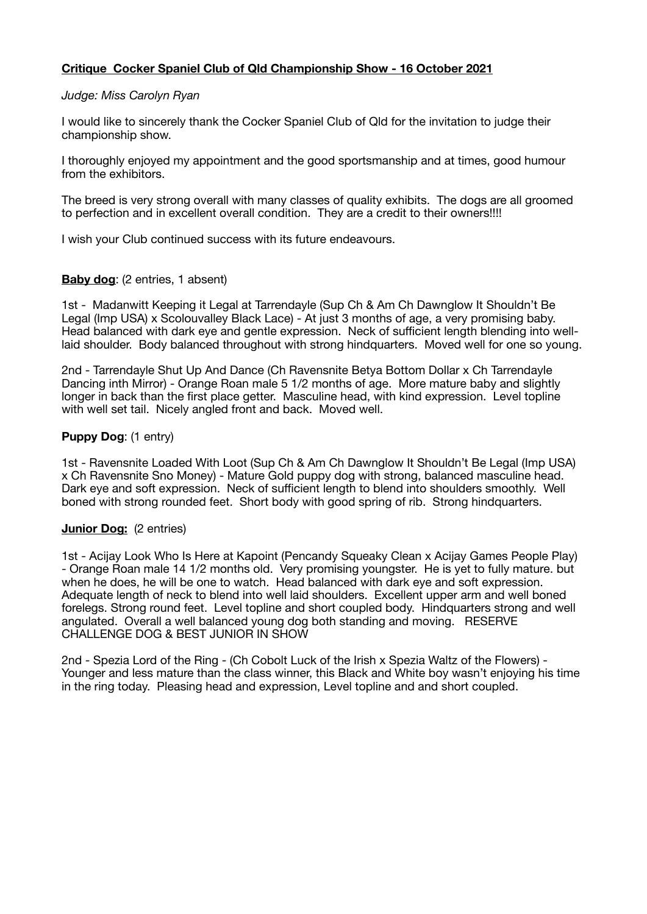# **Critique Cocker Spaniel Club of Qld Championship Show - 16 October 2021**

#### *Judge: Miss Carolyn Ryan*

I would like to sincerely thank the Cocker Spaniel Club of Qld for the invitation to judge their championship show.

I thoroughly enjoyed my appointment and the good sportsmanship and at times, good humour from the exhibitors.

The breed is very strong overall with many classes of quality exhibits. The dogs are all groomed to perfection and in excellent overall condition. They are a credit to their owners!!!!

I wish your Club continued success with its future endeavours.

### **Baby dog:** (2 entries, 1 absent)

1st - Madanwitt Keeping it Legal at Tarrendayle (Sup Ch & Am Ch Dawnglow It Shouldn't Be Legal (Imp USA) x Scolouvalley Black Lace) - At just 3 months of age, a very promising baby. Head balanced with dark eye and gentle expression. Neck of sufficient length blending into welllaid shoulder. Body balanced throughout with strong hindquarters. Moved well for one so young.

2nd - Tarrendayle Shut Up And Dance (Ch Ravensnite Betya Bottom Dollar x Ch Tarrendayle Dancing inth Mirror) - Orange Roan male 5 1/2 months of age. More mature baby and slightly longer in back than the first place getter. Masculine head, with kind expression. Level topline with well set tail. Nicely angled front and back. Moved well.

### **Puppy Dog**: (1 entry)

1st - Ravensnite Loaded With Loot (Sup Ch & Am Ch Dawnglow It Shouldn't Be Legal (Imp USA) x Ch Ravensnite Sno Money) - Mature Gold puppy dog with strong, balanced masculine head. Dark eye and soft expression. Neck of sufficient length to blend into shoulders smoothly. Well boned with strong rounded feet. Short body with good spring of rib. Strong hindquarters.

#### **Junior Dog:** (2 entries)

1st - Acijay Look Who Is Here at Kapoint (Pencandy Squeaky Clean x Acijay Games People Play) - Orange Roan male 14 1/2 months old. Very promising youngster. He is yet to fully mature. but when he does, he will be one to watch. Head balanced with dark eye and soft expression. Adequate length of neck to blend into well laid shoulders. Excellent upper arm and well boned forelegs. Strong round feet. Level topline and short coupled body. Hindquarters strong and well angulated. Overall a well balanced young dog both standing and moving. RESERVE CHALLENGE DOG & BEST JUNIOR IN SHOW

2nd - Spezia Lord of the Ring - (Ch Cobolt Luck of the Irish x Spezia Waltz of the Flowers) - Younger and less mature than the class winner, this Black and White boy wasn't enjoying his time in the ring today. Pleasing head and expression, Level topline and and short coupled.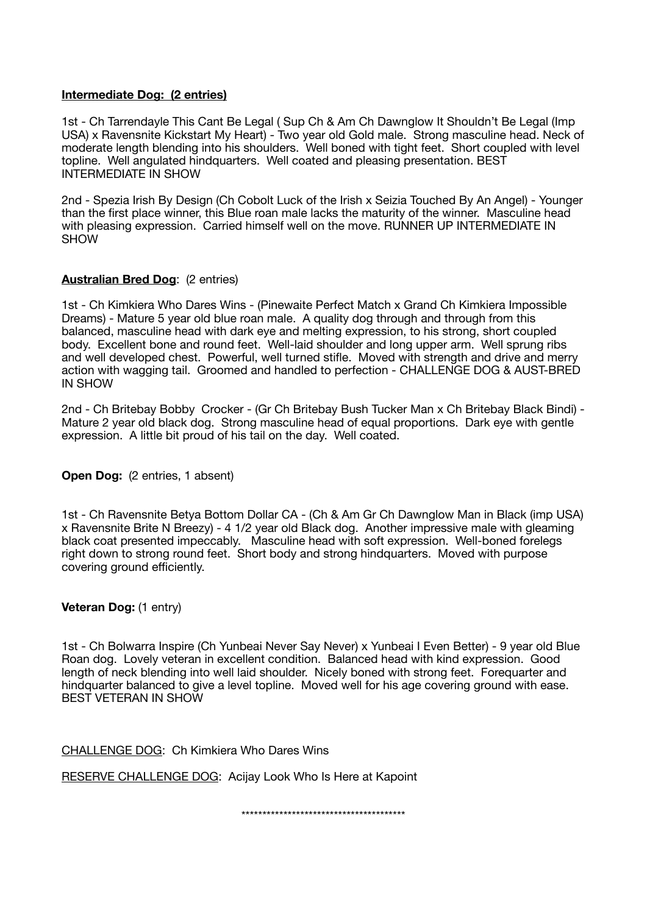### **Intermediate Dog: (2 entries)**

1st - Ch Tarrendayle This Cant Be Legal ( Sup Ch & Am Ch Dawnglow It Shouldn't Be Legal (Imp USA) x Ravensnite Kickstart My Heart) - Two year old Gold male. Strong masculine head. Neck of moderate length blending into his shoulders. Well boned with tight feet. Short coupled with level topline. Well angulated hindquarters. Well coated and pleasing presentation. BEST INTERMEDIATE IN SHOW

2nd - Spezia Irish By Design (Ch Cobolt Luck of the Irish x Seizia Touched By An Angel) - Younger than the first place winner, this Blue roan male lacks the maturity of the winner. Masculine head with pleasing expression. Carried himself well on the move. RUNNER UP INTERMEDIATE IN **SHOW** 

# **Australian Bred Dog**: (2 entries)

1st - Ch Kimkiera Who Dares Wins - (Pinewaite Perfect Match x Grand Ch Kimkiera Impossible Dreams) - Mature 5 year old blue roan male. A quality dog through and through from this balanced, masculine head with dark eye and melting expression, to his strong, short coupled body. Excellent bone and round feet. Well-laid shoulder and long upper arm. Well sprung ribs and well developed chest. Powerful, well turned stifle. Moved with strength and drive and merry action with wagging tail. Groomed and handled to perfection - CHALLENGE DOG & AUST-BRED IN SHOW

2nd - Ch Britebay Bobby Crocker - (Gr Ch Britebay Bush Tucker Man x Ch Britebay Black Bindi) - Mature 2 year old black dog. Strong masculine head of equal proportions. Dark eye with gentle expression. A little bit proud of his tail on the day. Well coated.

**Open Dog:** (2 entries, 1 absent)

1st - Ch Ravensnite Betya Bottom Dollar CA - (Ch & Am Gr Ch Dawnglow Man in Black (imp USA) x Ravensnite Brite N Breezy) - 4 1/2 year old Black dog. Another impressive male with gleaming black coat presented impeccably. Masculine head with soft expression. Well-boned forelegs right down to strong round feet. Short body and strong hindquarters. Moved with purpose covering ground efficiently.

**Veteran Dog: (1 entry)** 

1st - Ch Bolwarra Inspire (Ch Yunbeai Never Say Never) x Yunbeai I Even Better) - 9 year old Blue Roan dog. Lovely veteran in excellent condition. Balanced head with kind expression. Good length of neck blending into well laid shoulder. Nicely boned with strong feet. Forequarter and hindquarter balanced to give a level topline. Moved well for his age covering ground with ease. BEST VETERAN IN SHOW

CHALLENGE DOG: Ch Kimkiera Who Dares Wins

RESERVE CHALLENGE DOG: Acijay Look Who Is Here at Kapoint

\*\*\*\*\*\*\*\*\*\*\*\*\*\*\*\*\*\*\*\*\*\*\*\*\*\*\*\*\*\*\*\*\*\*\*\*\*\*\*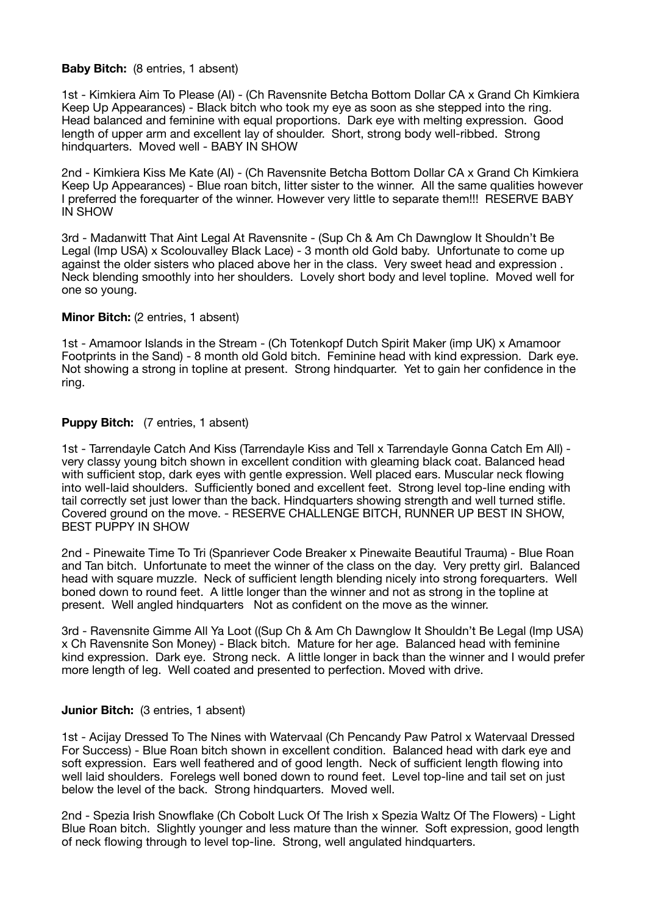#### **Baby Bitch:** (8 entries, 1 absent)

1st - Kimkiera Aim To Please (AI) - (Ch Ravensnite Betcha Bottom Dollar CA x Grand Ch Kimkiera Keep Up Appearances) - Black bitch who took my eye as soon as she stepped into the ring. Head balanced and feminine with equal proportions. Dark eye with melting expression. Good length of upper arm and excellent lay of shoulder. Short, strong body well-ribbed. Strong hindquarters. Moved well - BABY IN SHOW

2nd - Kimkiera Kiss Me Kate (AI) - (Ch Ravensnite Betcha Bottom Dollar CA x Grand Ch Kimkiera Keep Up Appearances) - Blue roan bitch, litter sister to the winner. All the same qualities however I preferred the forequarter of the winner. However very little to separate them!!! RESERVE BABY IN SHOW

3rd - Madanwitt That Aint Legal At Ravensnite - (Sup Ch & Am Ch Dawnglow It Shouldn't Be Legal (Imp USA) x Scolouvalley Black Lace) - 3 month old Gold baby. Unfortunate to come up against the older sisters who placed above her in the class. Very sweet head and expression . Neck blending smoothly into her shoulders. Lovely short body and level topline. Moved well for one so young.

### **Minor Bitch:** (2 entries, 1 absent)

1st - Amamoor Islands in the Stream - (Ch Totenkopf Dutch Spirit Maker (imp UK) x Amamoor Footprints in the Sand) - 8 month old Gold bitch. Feminine head with kind expression. Dark eye. Not showing a strong in topline at present. Strong hindquarter. Yet to gain her confidence in the ring.

### **Puppy Bitch:** (7 entries, 1 absent)

1st - Tarrendayle Catch And Kiss (Tarrendayle Kiss and Tell x Tarrendayle Gonna Catch Em All) very classy young bitch shown in excellent condition with gleaming black coat. Balanced head with sufficient stop, dark eyes with gentle expression. Well placed ears. Muscular neck flowing into well-laid shoulders. Sufficiently boned and excellent feet. Strong level top-line ending with tail correctly set just lower than the back. Hindquarters showing strength and well turned stifle. Covered ground on the move. - RESERVE CHALLENGE BITCH, RUNNER UP BEST IN SHOW, BEST PUPPY IN SHOW

2nd - Pinewaite Time To Tri (Spanriever Code Breaker x Pinewaite Beautiful Trauma) - Blue Roan and Tan bitch. Unfortunate to meet the winner of the class on the day. Very pretty girl. Balanced head with square muzzle. Neck of sufficient length blending nicely into strong forequarters. Well boned down to round feet. A little longer than the winner and not as strong in the topline at present. Well angled hindquarters Not as confident on the move as the winner.

3rd - Ravensnite Gimme All Ya Loot ((Sup Ch & Am Ch Dawnglow It Shouldn't Be Legal (Imp USA) x Ch Ravensnite Son Money) - Black bitch. Mature for her age. Balanced head with feminine kind expression. Dark eye. Strong neck. A little longer in back than the winner and I would prefer more length of leg. Well coated and presented to perfection. Moved with drive.

# **Junior Bitch:** (3 entries, 1 absent)

1st - Acijay Dressed To The Nines with Watervaal (Ch Pencandy Paw Patrol x Watervaal Dressed For Success) - Blue Roan bitch shown in excellent condition. Balanced head with dark eye and soft expression. Ears well feathered and of good length. Neck of sufficient length flowing into well laid shoulders. Forelegs well boned down to round feet. Level top-line and tail set on just below the level of the back. Strong hindquarters. Moved well.

2nd - Spezia Irish Snowflake (Ch Cobolt Luck Of The Irish x Spezia Waltz Of The Flowers) - Light Blue Roan bitch. Slightly younger and less mature than the winner. Soft expression, good length of neck flowing through to level top-line. Strong, well angulated hindquarters.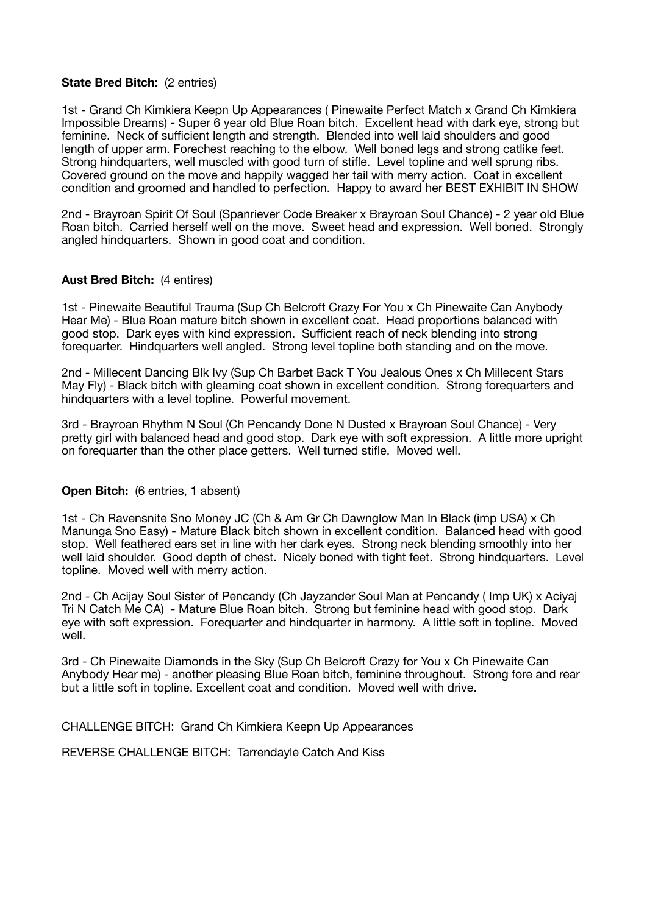### **State Bred Bitch:** (2 entries)

1st - Grand Ch Kimkiera Keepn Up Appearances ( Pinewaite Perfect Match x Grand Ch Kimkiera Impossible Dreams) - Super 6 year old Blue Roan bitch. Excellent head with dark eye, strong but feminine. Neck of sufficient length and strength. Blended into well laid shoulders and good length of upper arm. Forechest reaching to the elbow. Well boned legs and strong catlike feet. Strong hindquarters, well muscled with good turn of stifle. Level topline and well sprung ribs. Covered ground on the move and happily wagged her tail with merry action. Coat in excellent condition and groomed and handled to perfection. Happy to award her BEST EXHIBIT IN SHOW

2nd - Brayroan Spirit Of Soul (Spanriever Code Breaker x Brayroan Soul Chance) - 2 year old Blue Roan bitch. Carried herself well on the move. Sweet head and expression. Well boned. Strongly angled hindquarters. Shown in good coat and condition.

### **Aust Bred Bitch:** (4 entires)

1st - Pinewaite Beautiful Trauma (Sup Ch Belcroft Crazy For You x Ch Pinewaite Can Anybody Hear Me) - Blue Roan mature bitch shown in excellent coat. Head proportions balanced with good stop. Dark eyes with kind expression. Sufficient reach of neck blending into strong forequarter. Hindquarters well angled. Strong level topline both standing and on the move.

2nd - Millecent Dancing Blk Ivy (Sup Ch Barbet Back T You Jealous Ones x Ch Millecent Stars May Fly) - Black bitch with gleaming coat shown in excellent condition. Strong forequarters and hindquarters with a level topline. Powerful movement.

3rd - Brayroan Rhythm N Soul (Ch Pencandy Done N Dusted x Brayroan Soul Chance) - Very pretty girl with balanced head and good stop. Dark eye with soft expression. A little more upright on forequarter than the other place getters. Well turned stifle. Moved well.

#### **Open Bitch:** (6 entries, 1 absent)

1st - Ch Ravensnite Sno Money JC (Ch & Am Gr Ch Dawnglow Man In Black (imp USA) x Ch Manunga Sno Easy) - Mature Black bitch shown in excellent condition. Balanced head with good stop. Well feathered ears set in line with her dark eyes. Strong neck blending smoothly into her well laid shoulder. Good depth of chest. Nicely boned with tight feet. Strong hindquarters. Level topline. Moved well with merry action.

2nd - Ch Acijay Soul Sister of Pencandy (Ch Jayzander Soul Man at Pencandy ( Imp UK) x Aciyaj Tri N Catch Me CA) - Mature Blue Roan bitch. Strong but feminine head with good stop. Dark eye with soft expression. Forequarter and hindquarter in harmony. A little soft in topline. Moved well.

3rd - Ch Pinewaite Diamonds in the Sky (Sup Ch Belcroft Crazy for You x Ch Pinewaite Can Anybody Hear me) - another pleasing Blue Roan bitch, feminine throughout. Strong fore and rear but a little soft in topline. Excellent coat and condition. Moved well with drive.

CHALLENGE BITCH: Grand Ch Kimkiera Keepn Up Appearances

REVERSE CHALLENGE BITCH: Tarrendayle Catch And Kiss